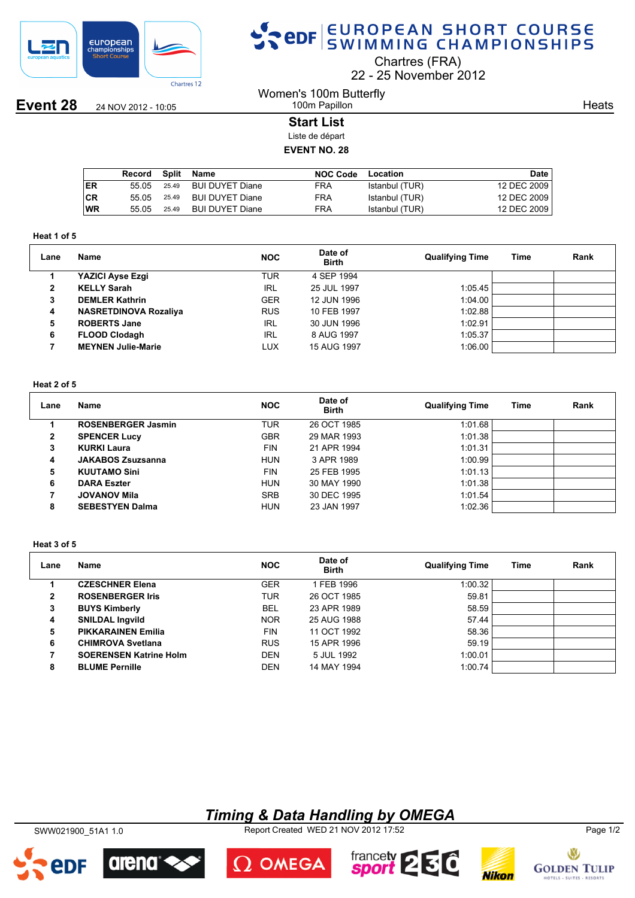

## SPOR EUROPEAN SHORT COURSE

Chartres (FRA)

22 25 November 2012

**Event 28** 24 NOV 2012 - 10:05

#### Women's 100m Butterfly 100m Papillon

**Heats** 

#### **Start List**

Liste de départ

### **EVENT NO. 28**

|            | Record | Split | Name            | <b>NOC Code</b> | Location       | Date        |
|------------|--------|-------|-----------------|-----------------|----------------|-------------|
| <b>IER</b> | 55.05  | 25.49 | BUI DUYET Diane | <b>FRA</b>      | Istanbul (TUR) | 12 DEC 2009 |
| ∣CR        | 55.05  | 25.49 | BUI DUYET Diane | FRA             | Istanbul (TUR) | 12 DEC 2009 |
| <b>WR</b>  | 55.05  | 25.49 | BUI DUYET Diane | FRA             | Istanbul (TUR) | 12 DEC 2009 |

#### **Heat 1 of 5**

| Lane         | Name                         | <b>NOC</b> | Date of<br><b>Birth</b> | <b>Qualifying Time</b> | Time | Rank |
|--------------|------------------------------|------------|-------------------------|------------------------|------|------|
|              | YAZICI Ayse Ezgi             | <b>TUR</b> | 4 SEP 1994              |                        |      |      |
| $\mathbf{2}$ | <b>KELLY Sarah</b>           | <b>IRL</b> | 25 JUL 1997             | 1:05.45                |      |      |
| 3            | <b>DEMLER Kathrin</b>        | <b>GER</b> | 12 JUN 1996             | 1:04.00                |      |      |
| 4            | <b>NASRETDINOVA Rozaliya</b> | <b>RUS</b> | 10 FEB 1997             | 1:02.88                |      |      |
| 5            | <b>ROBERTS Jane</b>          | <b>IRL</b> | 30 JUN 1996             | 1:02.91                |      |      |
| 6            | <b>FLOOD Clodagh</b>         | <b>IRL</b> | 8 AUG 1997              | 1:05.37                |      |      |
|              | <b>MEYNEN Julie-Marie</b>    | LUX        | 15 AUG 1997             | 1:06.00                |      |      |

#### **Heat 2 of 5**

| Lane | Name                      | <b>NOC</b> | Date of<br><b>Birth</b> | <b>Qualifying Time</b> | Time | Rank |
|------|---------------------------|------------|-------------------------|------------------------|------|------|
|      | <b>ROSENBERGER Jasmin</b> | TUR        | 26 OCT 1985             | 1:01.68                |      |      |
| 2    | <b>SPENCER Lucy</b>       | <b>GBR</b> | 29 MAR 1993             | 1:01.38                |      |      |
| 3    | <b>KURKI Laura</b>        | <b>FIN</b> | 21 APR 1994             | 1:01.31                |      |      |
| 4    | <b>JAKABOS Zsuzsanna</b>  | <b>HUN</b> | 3 APR 1989              | 1:00.99                |      |      |
| 5    | <b>KUUTAMO Sini</b>       | <b>FIN</b> | 25 FEB 1995             | 1:01.13                |      |      |
| 6    | <b>DARA Eszter</b>        | <b>HUN</b> | 30 MAY 1990             | 1:01.38                |      |      |
|      | <b>JOVANOV Mila</b>       | <b>SRB</b> | 30 DEC 1995             | 1:01.54                |      |      |
| 8    | <b>SEBESTYEN Dalma</b>    | <b>HUN</b> | 23 JAN 1997             | 1:02.36                |      |      |

#### **Heat 3 of 5**

| Lane | Name                          | <b>NOC</b> | Date of<br><b>Birth</b> | <b>Qualifying Time</b> | Time | Rank |
|------|-------------------------------|------------|-------------------------|------------------------|------|------|
|      | <b>CZESCHNER Elena</b>        | <b>GER</b> | 1 FEB 1996              | 1:00.32                |      |      |
| 2    | <b>ROSENBERGER Iris</b>       | TUR        | 26 OCT 1985             | 59.81                  |      |      |
| 3    | <b>BUYS Kimberly</b>          | <b>BEL</b> | 23 APR 1989             | 58.59                  |      |      |
| 4    | <b>SNILDAL Ingvild</b>        | <b>NOR</b> | 25 AUG 1988             | 57.44                  |      |      |
| 5    | <b>PIKKARAINEN Emilia</b>     | <b>FIN</b> | 11 OCT 1992             | 58.36                  |      |      |
| 6    | <b>CHIMROVA Svetlana</b>      | <b>RUS</b> | 15 APR 1996             | 59.19                  |      |      |
|      | <b>SOERENSEN Katrine Holm</b> | <b>DEN</b> | 5 JUL 1992              | 1:00.01                |      |      |
| 8    | <b>BLUME Pernille</b>         | <b>DEN</b> | 14 MAY 1994             | 1:00.74                |      |      |

## *Timing & Data Handling by OMEGA*

SWW021900\_51A1 1.0 Report Created WED 21 NOV 2012 17:52 Page 1/2